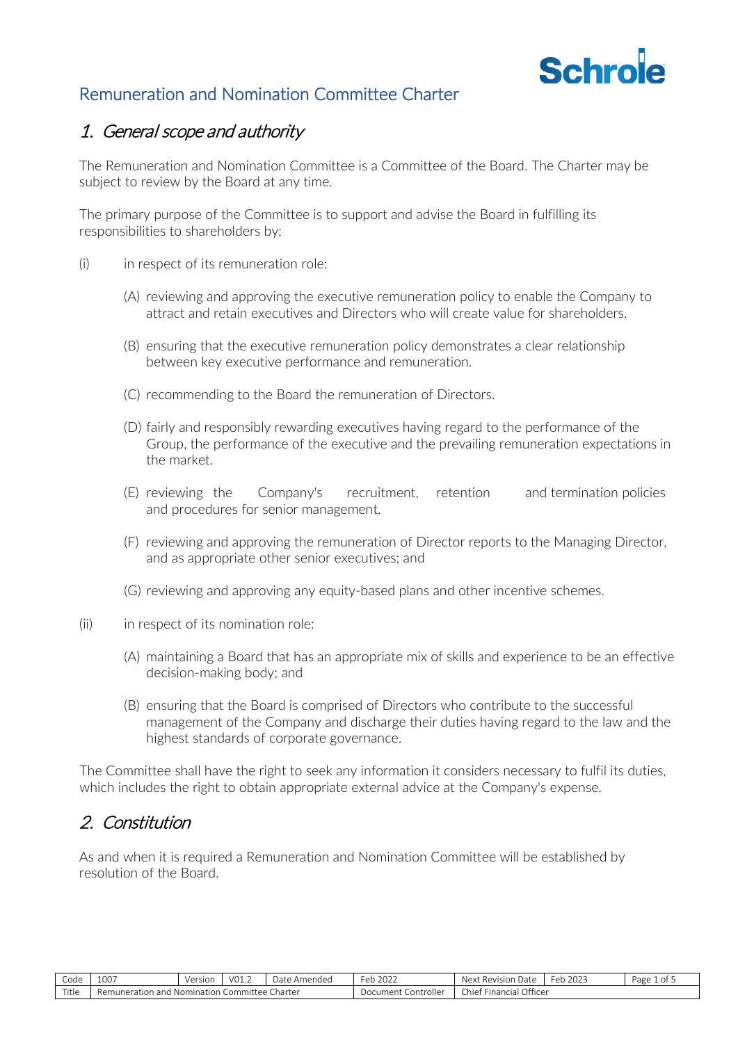

### Remuneration and Nomination Committee Charter

### 1. General scope and authority

The Remuneration and Nomination Committee is a Committee of the Board. The Charter may be subject to review by the Board at any time.

The primary purpose of the Committee is to support and advise the Board in fulfilling its responsibilities to shareholders by:

- (i) in respect of its remuneration role:
	- (A) reviewing and approving the executive remuneration policy to enable the Company to attract and retain executives and Directors who will create value for shareholders.
	- (B) ensuring that the executive remuneration policy demonstrates a clear relationship between key executive performance and remuneration.
	- (C) recommending to the Board the remuneration of Directors.
	- (D) fairly and responsibly rewarding executives having regard to the performance of the Group, the performance of the executive and the prevailing remuneration expectations in the market.
	- (E) reviewing the Company's recruitment, retention and termination policies and procedures for senior management.
	- (F) reviewing and approving the remuneration of Director reports to the Managing Director, and as appropriate other senior executives; and
	- (G) reviewing and approving any equity-based plans and other incentive schemes.
- (ii) in respect of its nomination role:
	- (A) maintaining a Board that has an appropriate mix of skills and experience to be an effective decision-making body; and
	- (B) ensuring that the Board is comprised of Directors who contribute to the successful management of the Company and discharge their duties having regard to the law and the highest standards of corporate governance.

The Committee shall have the right to seek any information it considers necessary to fulfil its duties, which includes the right to obtain appropriate external advice at the Company's expense.

### 2. Constitution

As and when it is required a Remuneration and Nomination Committee will be established by resolution of the Board.

| --<br>Code | .002<br>⊥∪∪ /            | Versior    | V01.2                                               | Date<br>Amendeo | -<br>2022<br>⊬ہ∟      | Next<br>Revision<br>Date                  | $\sim$ $\sim$ $\sim$ $\sim$<br>Feb<br>2023 | Page<br>ot. |
|------------|--------------------------|------------|-----------------------------------------------------|-----------------|-----------------------|-------------------------------------------|--------------------------------------------|-------------|
| Title      | Remunera<br>ration<br>an | Nomination | ommitt<br>ு ≏<br>$\sim$ $\sim$ $\sim$ $\sim$ $\sim$ | Jharter         | ontroller<br>Document | Officer<br>.<br>Financial<br><b>Chief</b> |                                            |             |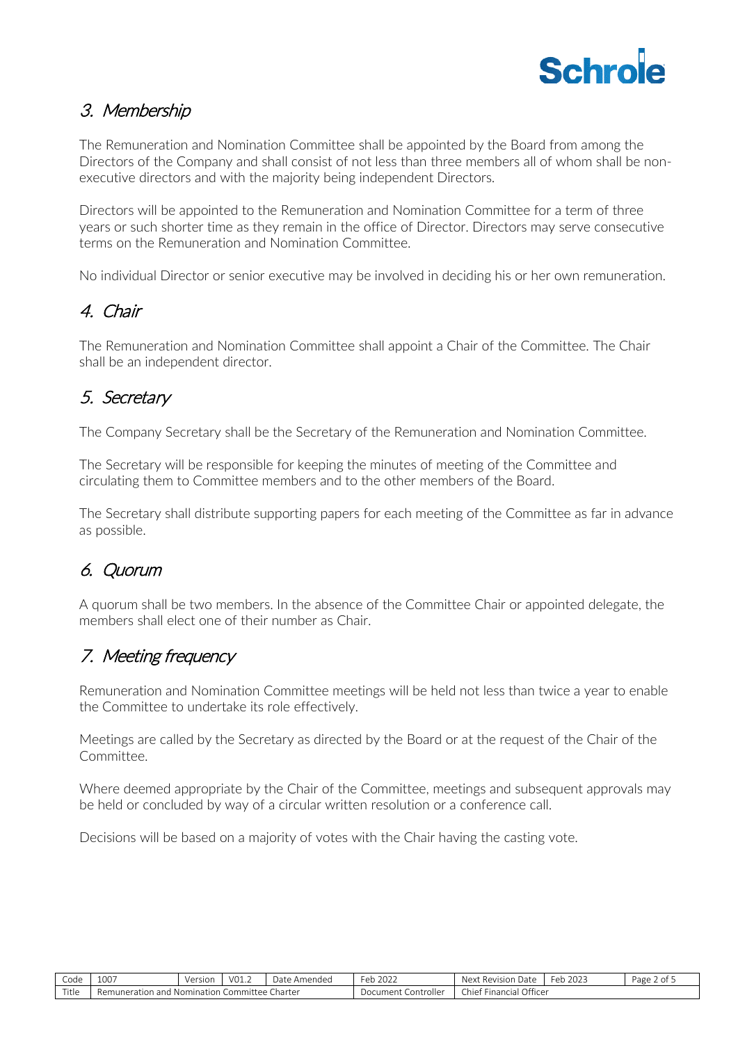

### 3. Membership

The Remuneration and Nomination Committee shall be appointed by the Board from among the Directors of the Company and shall consist of not less than three members all of whom shall be nonexecutive directors and with the majority being independent Directors.

Directors will be appointed to the Remuneration and Nomination Committee for a term of three years or such shorter time as they remain in the office of Director. Directors may serve consecutive terms on the Remuneration and Nomination Committee.

No individual Director or senior executive may be involved in deciding his or her own remuneration.

# 4. Chair

The Remuneration and Nomination Committee shall appoint a Chair of the Committee. The Chair shall be an independent director.

# 5. Secretary

The Company Secretary shall be the Secretary of the Remuneration and Nomination Committee.

The Secretary will be responsible for keeping the minutes of meeting of the Committee and circulating them to Committee members and to the other members of the Board.

The Secretary shall distribute supporting papers for each meeting of the Committee as far in advance as possible.

# 6. Quorum

A quorum shall be two members. In the absence of the Committee Chair or appointed delegate, the members shall elect one of their number as Chair.

## 7. Meeting frequency

Remuneration and Nomination Committee meetings will be held not less than twice a year to enable the Committee to undertake its role effectively.

Meetings are called by the Secretary as directed by the Board or at the request of the Chair of the Committee.

Where deemed appropriate by the Chair of the Committee, meetings and subsequent approvals may be held or concluded by way of a circular written resolution or a conference call.

Decisions will be based on a majority of votes with the Chair having the casting vote.

| --<br>Code | 1007<br>TOO '                | Version        | VO1.4     | Date<br>Amendec | $\sim$<br>2022<br>⊩≏⊳<br>$\mathbf{L}$ | Nex<br>Date<br>Revision                                                                                  | 2023<br>Feb | Page<br>0Ť |
|------------|------------------------------|----------------|-----------|-----------------|---------------------------------------|----------------------------------------------------------------------------------------------------------|-------------|------------|
| Title      | Remuneratio<br>and<br>Tation | and Nomination | :ommittee | Charter         | Document<br>ontroller                 | $\bigcap_{i \in \mathbb{N}}$<br><b>1999</b><br>Chie <sup>+</sup><br>u Financio"<br>، ال<br>.idi.<br>1166 |             |            |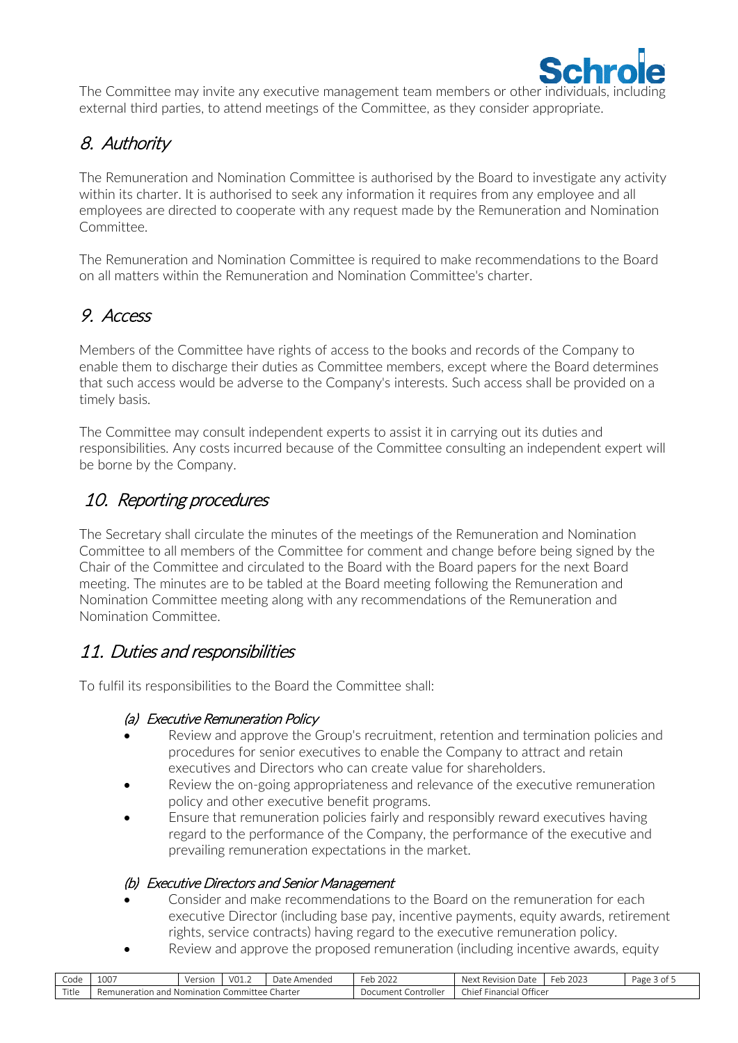

The Committee may invite any executive management team members or other individuals, including external third parties, to attend meetings of the Committee, as they consider appropriate.

## 8. Authority

The Remuneration and Nomination Committee is authorised by the Board to investigate any activity within its charter. It is authorised to seek any information it requires from any employee and all employees are directed to cooperate with any request made by the Remuneration and Nomination Committee.

The Remuneration and Nomination Committee is required to make recommendations to the Board on all matters within the Remuneration and Nomination Committee's charter.

## 9. Access

Members of the Committee have rights of access to the books and records of the Company to enable them to discharge their duties as Committee members, except where the Board determines that such access would be adverse to the Company's interests. Such access shall be provided on a timely basis.

The Committee may consult independent experts to assist it in carrying out its duties and responsibilities. Any costs incurred because of the Committee consulting an independent expert will be borne by the Company.

## 10. Reporting procedures

The Secretary shall circulate the minutes of the meetings of the Remuneration and Nomination Committee to all members of the Committee for comment and change before being signed by the Chair of the Committee and circulated to the Board with the Board papers for the next Board meeting. The minutes are to be tabled at the Board meeting following the Remuneration and Nomination Committee meeting along with any recommendations of the Remuneration and Nomination Committee.

### 11. Duties and responsibilities

To fulfil its responsibilities to the Board the Committee shall:

#### (a) Executive Remuneration Policy

- Review and approve the Group's recruitment, retention and termination policies and procedures for senior executives to enable the Company to attract and retain executives and Directors who can create value for shareholders.
- Review the on-going appropriateness and relevance of the executive remuneration policy and other executive benefit programs.
- Ensure that remuneration policies fairly and responsibly reward executives having regard to the performance of the Company, the performance of the executive and prevailing remuneration expectations in the market.

#### (b) Executive Directors and Senior Management

- Consider and make recommendations to the Board on the remuneration for each executive Director (including base pay, incentive payments, equity awards, retirement rights, service contracts) having regard to the executive remuneration policy.
- Review and approve the proposed remuneration (including incentive awards, equity

| ำ∩d<br>coue | .007<br>TOO.                                                    | Version    | $\sim$<br>VUI.L | Date<br>$\sim$ 1000 $\sim$<br>mended<br>ட | $\sim$<br>$\sim$ $\sim$ $\sim$<br>∽ا ہ∟<br>2022<br>◡◡ | Date<br>Revision<br>Ne∨t     | 2022<br>$\sim$<br>⊢er<br>` ZUZ_ | Page<br>0t |
|-------------|-----------------------------------------------------------------|------------|-----------------|-------------------------------------------|-------------------------------------------------------|------------------------------|---------------------------------|------------|
| Title       | lemunera <sup>.</sup><br>$\sim$ $\sim$ $\sim$<br>ration<br>dill | Nomination | tee<br>ommit    | Iharter                                   | Controller<br>umer*                                   | Officer<br>Financial<br>hie* |                                 |            |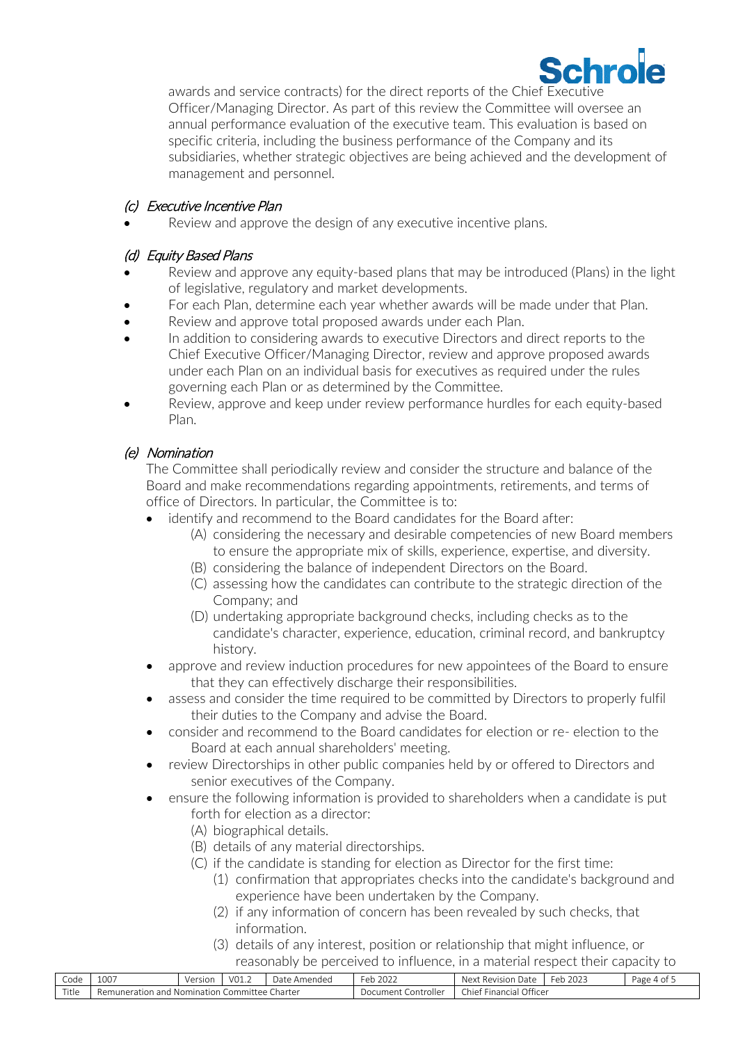

awards and service contracts) for the direct reports of the Chief Executive Officer/Managing Director. As part of this review the Committee will oversee an annual performance evaluation of the executive team. This evaluation is based on specific criteria, including the business performance of the Company and its subsidiaries, whether strategic objectives are being achieved and the development of management and personnel.

#### (c) Executive Incentive Plan

Review and approve the design of any executive incentive plans.

#### (d) Equity Based Plans

- Review and approve any equity-based plans that may be introduced (Plans) in the light of legislative, regulatory and market developments.
- For each Plan, determine each year whether awards will be made under that Plan.
- Review and approve total proposed awards under each Plan.
- In addition to considering awards to executive Directors and direct reports to the Chief Executive Officer/Managing Director, review and approve proposed awards under each Plan on an individual basis for executives as required under the rules governing each Plan or as determined by the Committee.
- Review, approve and keep under review performance hurdles for each equity-based Plan.

### (e) Nomination

The Committee shall periodically review and consider the structure and balance of the Board and make recommendations regarding appointments, retirements, and terms of office of Directors. In particular, the Committee is to:

- identify and recommend to the Board candidates for the Board after:
	- (A) considering the necessary and desirable competencies of new Board members to ensure the appropriate mix of skills, experience, expertise, and diversity.
	- (B) considering the balance of independent Directors on the Board.
	- (C) assessing how the candidates can contribute to the strategic direction of the Company; and
	- (D) undertaking appropriate background checks, including checks as to the candidate's character, experience, education, criminal record, and bankruptcy history.
- approve and review induction procedures for new appointees of the Board to ensure that they can effectively discharge their responsibilities.
- assess and consider the time required to be committed by Directors to properly fulfil their duties to the Company and advise the Board.
- consider and recommend to the Board candidates for election or re- election to the Board at each annual shareholders' meeting.
- review Directorships in other public companies held by or offered to Directors and senior executives of the Company.
- ensure the following information is provided to shareholders when a candidate is put forth for election as a director:
	- (A) biographical details.
	- (B) details of any material directorships.
	- (C) if the candidate is standing for election as Director for the first time:
		- (1) confirmation that appropriates checks into the candidate's background and experience have been undertaken by the Company.
		- (2) if any information of concern has been revealed by such checks, that information.
		- (3) details of any interest, position or relationship that might influence, or reasonably be perceived to influence, in a material respect their capacity to

| $\sim$<br>Code | $\sim$ $\sim$ $\sim$<br>TOO. | Version      | 1/0 <sup>2</sup><br>$\cup$ $\bot$ $\cdot$ $\angle$ | Date<br>nendea<br>$\cdots$ | $\mathbf{a} \mathbf{a} \mathbf{b}$<br>⊬ہ∟<br>ZUZZ<br>้ | Date<br>Nex <sup>+</sup><br>wal Revision | $\sim$ $\sim$ $\sim$<br>– ≏r<br>2023<br>$\sim$ 1.7 | Page |
|----------------|------------------------------|--------------|----------------------------------------------------|----------------------------|--------------------------------------------------------|------------------------------------------|----------------------------------------------------|------|
| Title          | uuners.<br>and<br>ion<br>rai | ، Nomination | .ommit1<br>۵۵                                      | Jharte                     | ontr <sup>.</sup><br>. oller<br>ument<br>וחחנ          | .<br>Officer<br>Chief<br>Financia        |                                                    |      |